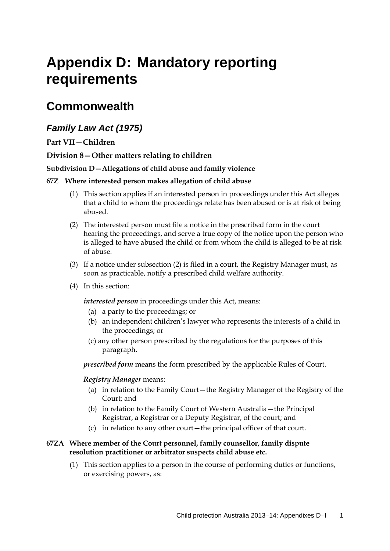# **Appendix D: Mandatory reporting requirements**

### **Commonwealth**

### *Family Law Act (1975)*

### **Part VII—Children**

#### **Division 8—Other matters relating to children**

#### **Subdivision D—Allegations of child abuse and family violence**

#### **67Z Where interested person makes allegation of child abuse**

- (1) This section applies if an interested person in proceedings under this Act alleges that a child to whom the proceedings relate has been abused or is at risk of being abused.
- (2) The interested person must file a notice in the prescribed form in the court hearing the proceedings, and serve a true copy of the notice upon the person who is alleged to have abused the child or from whom the child is alleged to be at risk of abuse.
- (3) If a notice under subsection (2) is filed in a court, the Registry Manager must, as soon as practicable, notify a prescribed child welfare authority.
- (4) In this section:

*interested person* in proceedings under this Act, means:

- (a) a party to the proceedings; or
- (b) an independent children's lawyer who represents the interests of a child in the proceedings; or
- (c) any other person prescribed by the regulations for the purposes of this paragraph.

*prescribed form* means the form prescribed by the applicable Rules of Court.

#### *Registry Manager* means:

- (a) in relation to the Family Court—the Registry Manager of the Registry of the Court; and
- (b) in relation to the Family Court of Western Australia—the Principal Registrar, a Registrar or a Deputy Registrar, of the court; and
- (c) in relation to any other court—the principal officer of that court.

#### **67ZA Where member of the Court personnel, family counsellor, family dispute resolution practitioner or arbitrator suspects child abuse etc.**

(1) This section applies to a person in the course of performing duties or functions, or exercising powers, as: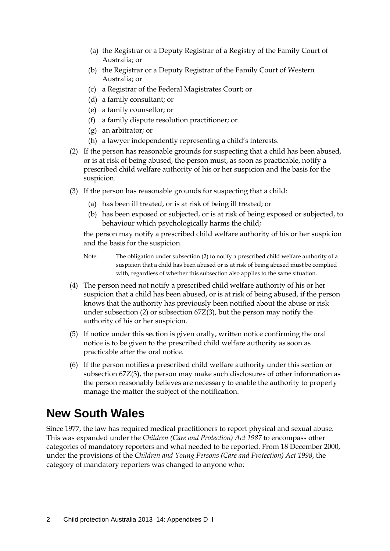- (a) the Registrar or a Deputy Registrar of a Registry of the Family Court of Australia; or
- (b) the Registrar or a Deputy Registrar of the Family Court of Western Australia; or
- (c) a Registrar of the Federal Magistrates Court; or
- (d) a family consultant; or
- (e) a family counsellor; or
- (f) a family dispute resolution practitioner; or
- (g) an arbitrator; or
- (h) a lawyer independently representing a child's interests.
- (2) If the person has reasonable grounds for suspecting that a child has been abused, or is at risk of being abused, the person must, as soon as practicable, notify a prescribed child welfare authority of his or her suspicion and the basis for the suspicion.
- (3) If the person has reasonable grounds for suspecting that a child:
	- (a) has been ill treated, or is at risk of being ill treated; or
	- (b) has been exposed or subjected, or is at risk of being exposed or subjected, to behaviour which psychologically harms the child;

the person may notify a prescribed child welfare authority of his or her suspicion and the basis for the suspicion.

```
Note: The obligation under subsection (2) to notify a prescribed child welfare authority of a 
suspicion that a child has been abused or is at risk of being abused must be complied
with, regardless of whether this subsection also applies to the same situation.
```
- (4) The person need not notify a prescribed child welfare authority of his or her suspicion that a child has been abused, or is at risk of being abused, if the person knows that the authority has previously been notified about the abuse or risk under subsection (2) or subsection 67Z(3), but the person may notify the authority of his or her suspicion.
- (5) If notice under this section is given orally, written notice confirming the oral notice is to be given to the prescribed child welfare authority as soon as practicable after the oral notice.
- (6) If the person notifies a prescribed child welfare authority under this section or subsection 67Z(3), the person may make such disclosures of other information as the person reasonably believes are necessary to enable the authority to properly manage the matter the subject of the notification.

### **New South Wales**

Since 1977, the law has required medical practitioners to report physical and sexual abuse. This was expanded under the *Children (Care and Protection) Act 1987* to encompass other categories of mandatory reporters and what needed to be reported. From 18 December 2000, under the provisions of the *Children and Young Persons (Care and Protection) Act 1998*, the category of mandatory reporters was changed to anyone who: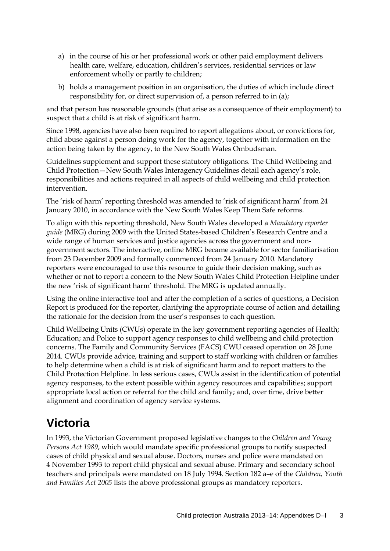- a) in the course of his or her professional work or other paid employment delivers health care, welfare, education, children's services, residential services or law enforcement wholly or partly to children;
- b) holds a management position in an organisation, the duties of which include direct responsibility for, or direct supervision of, a person referred to in (a);

and that person has reasonable grounds (that arise as a consequence of their employment) to suspect that a child is at risk of significant harm.

Since 1998, agencies have also been required to report allegations about, or convictions for, child abuse against a person doing work for the agency, together with information on the action being taken by the agency, to the New South Wales Ombudsman.

Guidelines supplement and support these statutory obligations. The Child Wellbeing and Child Protection—New South Wales Interagency Guidelines detail each agency's role, responsibilities and actions required in all aspects of child wellbeing and child protection intervention.

The 'risk of harm' reporting threshold was amended to 'risk of significant harm' from 24 January 2010, in accordance with the New South Wales Keep Them Safe reforms.

To align with this reporting threshold, New South Wales developed a *Mandatory reporter guide* (MRG) during 2009 with the United States-based Children's Research Centre and a wide range of human services and justice agencies across the government and nongovernment sectors. The interactive, online MRG became available for sector familiarisation from 23 December 2009 and formally commenced from 24 January 2010. Mandatory reporters were encouraged to use this resource to guide their decision making, such as whether or not to report a concern to the New South Wales Child Protection Helpline under the new 'risk of significant harm' threshold. The MRG is updated annually.

Using the online interactive tool and after the completion of a series of questions, a Decision Report is produced for the reporter, clarifying the appropriate course of action and detailing the rationale for the decision from the user's responses to each question.

Child Wellbeing Units (CWUs) operate in the key government reporting agencies of Health; Education; and Police to support agency responses to child wellbeing and child protection concerns. The Family and Community Services (FACS) CWU ceased operation on 28 June 2014. CWUs provide advice, training and support to staff working with children or families to help determine when a child is at risk of significant harm and to report matters to the Child Protection Helpline. In less serious cases, CWUs assist in the identification of potential agency responses, to the extent possible within agency resources and capabilities; support appropriate local action or referral for the child and family; and, over time, drive better alignment and coordination of agency service systems.

## **Victoria**

In 1993, the Victorian Government proposed legislative changes to the *Children and Young Persons Act 1989*, which would mandate specific professional groups to notify suspected cases of child physical and sexual abuse. Doctors, nurses and police were mandated on 4 November 1993 to report child physical and sexual abuse. Primary and secondary school teachers and principals were mandated on 18 July 1994. Section 182 a–e of the *Children, Youth and Families Act 2005* lists the above professional groups as mandatory reporters.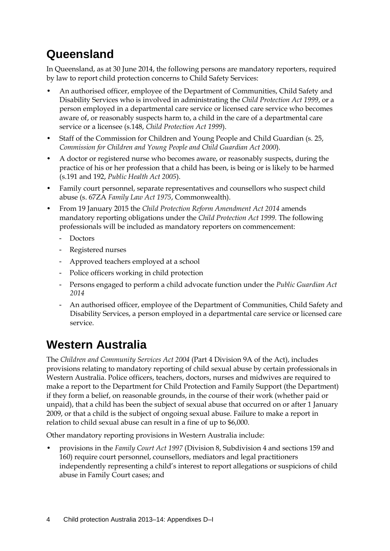# **Queensland**

In Queensland, as at 30 June 2014, the following persons are mandatory reporters, required by law to report child protection concerns to Child Safety Services:

- An authorised officer, employee of the Department of Communities, Child Safety and Disability Services who is involved in administrating the *Child Protection Act 1999*, or a person employed in a departmental care service or licensed care service who becomes aware of, or reasonably suspects harm to, a child in the care of a departmental care service or a licensee (s.148, *Child Protection Act 1999*).
- Staff of the Commission for Children and Young People and Child Guardian (s. 25, *Commission for Children and Young People and Child Guardian Act 2000*).
- A doctor or registered nurse who becomes aware, or reasonably suspects, during the practice of his or her profession that a child has been, is being or is likely to be harmed (s.191 and 192, *Public Health Act 2005*).
- Family court personnel, separate representatives and counsellors who suspect child abuse (s. 67ZA *Family Law Act 1975*, Commonwealth).
- From 19 January 2015 the *Child Protection Reform Amendment Act 2014* amends mandatory reporting obligations under the *Child Protection Act 1999*. The following professionals will be included as mandatory reporters on commencement:
	- Doctors
	- Registered nurses
	- Approved teachers employed at a school
	- Police officers working in child protection
	- Persons engaged to perform a child advocate function under the *Public Guardian Act 2014*
	- An authorised officer, employee of the Department of Communities, Child Safety and Disability Services, a person employed in a departmental care service or licensed care service.

## **Western Australia**

The *Children and Community Services Act 2004* (Part 4 Division 9A of the Act), includes provisions relating to mandatory reporting of child sexual abuse by certain professionals in Western Australia. Police officers, teachers, doctors, nurses and midwives are required to make a report to the Department for Child Protection and Family Support (the Department) if they form a belief, on reasonable grounds, in the course of their work (whether paid or unpaid), that a child has been the subject of sexual abuse that occurred on or after 1 January 2009, or that a child is the subject of ongoing sexual abuse. Failure to make a report in relation to child sexual abuse can result in a fine of up to \$6,000.

Other mandatory reporting provisions in Western Australia include:

• provisions in the *Family Court Act 1997* (Division 8, Subdivision 4 and sections 159 and 160) require court personnel, counsellors, mediators and legal practitioners independently representing a child's interest to report allegations or suspicions of child abuse in Family Court cases; and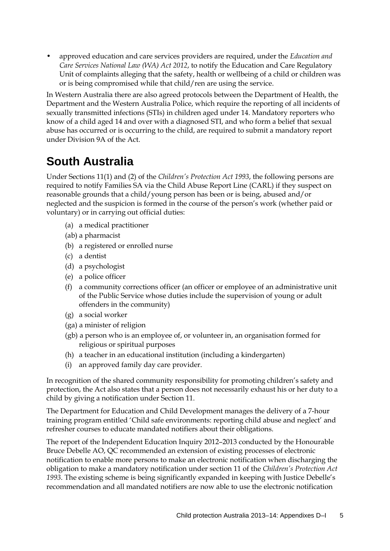• approved education and care services providers are required, under the *Education and Care Services National Law (WA) Act 2012*, to notify the Education and Care Regulatory Unit of complaints alleging that the safety, health or wellbeing of a child or children was or is being compromised while that child/ren are using the service.

In Western Australia there are also agreed protocols between the Department of Health, the Department and the Western Australia Police, which require the reporting of all incidents of sexually transmitted infections (STIs) in children aged under 14. Mandatory reporters who know of a child aged 14 and over with a diagnosed STI, and who form a belief that sexual abuse has occurred or is occurring to the child, are required to submit a mandatory report under Division 9A of the Act.

# **South Australia**

Under Sections 11(1) and (2) of the *Children's Protection Act 1993*, the following persons are required to notify Families SA via the Child Abuse Report Line (CARL) if they suspect on reasonable grounds that a child/young person has been or is being, abused and/or neglected and the suspicion is formed in the course of the person's work (whether paid or voluntary) or in carrying out official duties:

- (a) a medical practitioner
- (ab) a pharmacist
- (b) a registered or enrolled nurse
- (c) a dentist
- (d) a psychologist
- (e) a police officer
- (f) a community corrections officer (an officer or employee of an administrative unit of the Public Service whose duties include the supervision of young or adult offenders in the community)
- (g) a social worker
- (ga) a minister of religion
- (gb) a person who is an employee of, or volunteer in, an organisation formed for religious or spiritual purposes
- (h) a teacher in an educational institution (including a kindergarten)
- (i) an approved family day care provider.

In recognition of the shared community responsibility for promoting children's safety and protection, the Act also states that a person does not necessarily exhaust his or her duty to a child by giving a notification under Section 11.

The Department for Education and Child Development manages the delivery of a 7-hour training program entitled 'Child safe environments: reporting child abuse and neglect' and refresher courses to educate mandated notifiers about their obligations.

The report of the Independent Education Inquiry 2012–2013 conducted by the Honourable Bruce Debelle AO, QC recommended an extension of existing processes of electronic notification to enable more persons to make an electronic notification when discharging the obligation to make a mandatory notification under section 11 of the *Children's Protection Act 1993*. The existing scheme is being significantly expanded in keeping with Justice Debelle's recommendation and all mandated notifiers are now able to use the electronic notification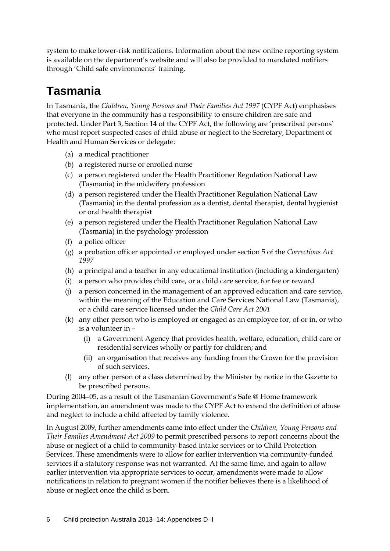system to make lower-risk notifications. Information about the new online reporting system is available on the department's website and will also be provided to mandated notifiers through 'Child safe environments' training.

# **Tasmania**

In Tasmania, the *Children, Young Persons and Their Families Act 1997* (CYPF Act) emphasises that everyone in the community has a responsibility to ensure children are safe and protected. Under Part 3, Section 14 of the CYPF Act, the following are 'prescribed persons' who must report suspected cases of child abuse or neglect to the Secretary, Department of Health and Human Services or delegate:

- (a) a medical practitioner
- (b) a registered nurse or enrolled nurse
- (c) a person registered under the Health Practitioner Regulation National Law (Tasmania) in the midwifery profession
- (d) a person registered under the Health Practitioner Regulation National Law (Tasmania) in the dental profession as a dentist, dental therapist, dental hygienist or oral health therapist
- (e) a person registered under the Health Practitioner Regulation National Law (Tasmania) in the psychology profession
- (f) a police officer
- (g) a probation officer appointed or employed under [section 5](http://www.austlii.edu.au/au/legis/tas/consol_act/ca1997149/s5.html) of the *[Corrections Act](http://www.austlii.edu.au/au/legis/tas/consol_act/ca1997149/)  [1997](http://www.austlii.edu.au/au/legis/tas/consol_act/ca1997149/)*
- (h) a principal and a teacher in any educational institution (including a kindergarten)
- (i) a person who provides child care, or a child care service, for fee or reward
- (j) a person concerned in the management of an approved education and care service, within the meaning of the Education and Care Services National Law (Tasmania), or a child care service licensed under the *[Child Care Act 2001](http://www.austlii.edu.au/au/legis/tas/consol_act/cca200175/)*
- (k) any other person who is employed or engaged as an employee for, of or in, or who is a volunteer in –
	- (i) a Government Agency that provides health, welfare, education, child care or residential services wholly or partly for children; and
	- (ii) an organisation that receives any funding from the Crown for the provision of such services.
- (l) any other person of a class determined by the Minister by notice in the Gazette to be prescribed persons.

During 2004–05, as a result of the Tasmanian Government's Safe @ Home framework implementation, an amendment was made to the CYPF Act to extend the definition of abuse and neglect to include a child affected by family violence.

In August 2009, further amendments came into effect under the *Children, Young Persons and Their Families Amendment Act 2009* to permit prescribed persons to report concerns about the abuse or neglect of a child to community-based intake services or to Child Protection Services. These amendments were to allow for earlier intervention via community-funded services if a statutory response was not warranted. At the same time, and again to allow earlier intervention via appropriate services to occur, amendments were made to allow notifications in relation to pregnant women if the notifier believes there is a likelihood of abuse or neglect once the child is born.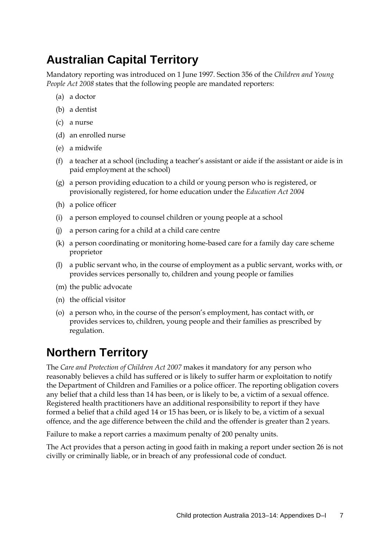# **Australian Capital Territory**

Mandatory reporting was introduced on 1 June 1997. Section 356 of the *Children and Young People Act 2008* states that the following people are mandated reporters:

- (a) a doctor
- (b) a dentist
- (c) a nurse
- (d) an enrolled nurse
- (e) a midwife
- (f) a teacher at a school (including a teacher's assistant or aide if the assistant or aide is in paid employment at the school)
- (g) a person providing education to a child or young person who is registered, or provisionally registered, for home education under the *Education Act 2004*
- (h) a police officer
- (i) a person employed to counsel children or young people at a school
- (j) a person caring for a child at a child care centre
- (k) a person coordinating or monitoring home-based care for a family day care scheme proprietor
- (l) a public servant who, in the course of employment as a public servant, works with, or provides services personally to, children and young people or families
- (m) the public advocate
- (n) the official visitor
- (o) a person who, in the course of the person's employment, has contact with, or provides services to, children, young people and their families as prescribed by regulation.

### **Northern Territory**

The *Care and Protection of Children Act 2007* makes it mandatory for any person who reasonably believes a child has suffered or is likely to suffer harm or exploitation to notify the Department of Children and Families or a police officer. The reporting obligation covers any belief that a child less than 14 has been, or is likely to be, a victim of a sexual offence. Registered health practitioners have an additional responsibility to report if they have formed a belief that a child aged 14 or 15 has been, or is likely to be, a victim of a sexual offence, and the age difference between the child and the offender is greater than 2 years.

Failure to make a report carries a maximum penalty of 200 penalty units.

The Act provides that a person acting in good faith in making a report unde[r section 26](http://www.austlii.edu.au/au/legis/nt/consol_act/capoca269/s26.html) is not civilly or criminally liable, or in breach of any professional code of conduct.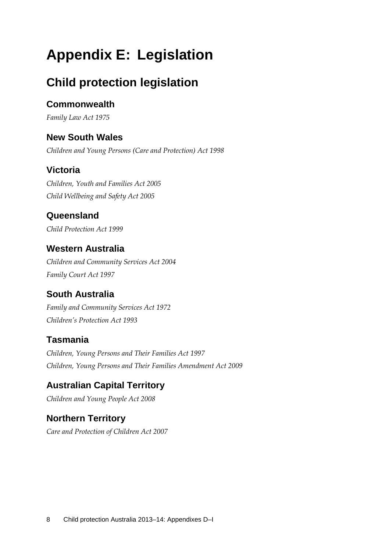# **Appendix E: Legislation**

# **Child protection legislation**

### **Commonwealth**

*Family Law Act 1975*

### **New South Wales**

*Children and Young Persons (Care and Protection) Act 1998* 

### **Victoria**

*Children, Youth and Families Act 2005 Child Wellbeing and Safety Act 2005*

### **Queensland**

*Child Protection Act 1999*

### **Western Australia**

*Children and Community Services Act 2004 Family Court Act 1997*

### **South Australia**

*Family and Community Services Act 1972 Children's Protection Act 1993*

### **Tasmania**

*Children, Young Persons and Their Families Act 1997 Children, Young Persons and Their Families Amendment Act 2009*

### **Australian Capital Territory**

*Children and Young People Act 2008*

### **Northern Territory**

*Care and Protection of Children Act 2007*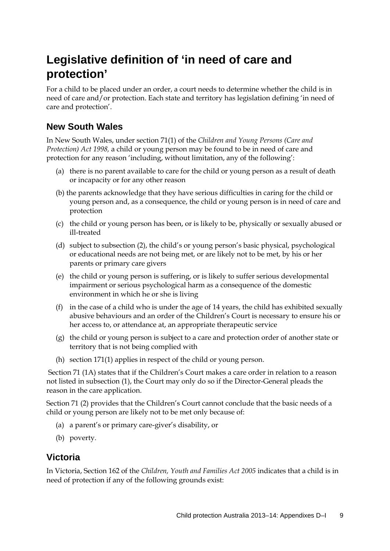# **Legislative definition of 'in need of care and protection'**

For a child to be placed under an order, a court needs to determine whether the child is in need of care and/or protection. Each state and territory has legislation defining 'in need of care and protection'.

### **New South Wales**

In New South Wales, under section 71(1) of the *Children and Young Persons (Care and Protection) Act 1998,* a child or young person may be found to be in need of care and protection for any reason 'including, without limitation, any of the following':

- (a) there is no parent available to care for the child or young person as a result of death or incapacity or for any other reason
- (b) the parents acknowledge that they have serious difficulties in caring for the child or young person and, as a consequence, the child or young person is in need of care and protection
- (c) the child or young person has been, or is likely to be, physically or sexually abused or ill-treated
- (d) subject to subsection (2), the child's or young person's basic physical, psychological or educational needs are not being met, or are likely not to be met, by his or her parents or primary care givers
- (e) the child or young person is suffering, or is likely to suffer serious developmental impairment or serious psychological harm as a consequence of the domestic environment in which he or she is living
- (f) in the case of a child who is under the age of 14 years, the child has exhibited sexually abusive behaviours and an order of the Children's Court is necessary to ensure his or her access to, or attendance at, an appropriate therapeutic service
- (g) the child or young person is subject to a care and protection order of another state or territory that is not being complied with
- (h) section 171(1) applies in respect of the child or young person.

Section 71 (1A) states that if the Children's Court makes a care order in relation to a reason not listed in subsection (1), the Court may only do so if the Director-General pleads the reason in the care application.

Section 71 (2) provides that the Children's Court cannot conclude that the basic needs of a child or young person are likely not to be met only because of:

- (a) a parent's or primary care-giver's disability, or
- (b) poverty.

### **Victoria**

In Victoria, Section 162 of the *Children, Youth and Families Act 2005* indicates that a child is in need of protection if any of the following grounds exist: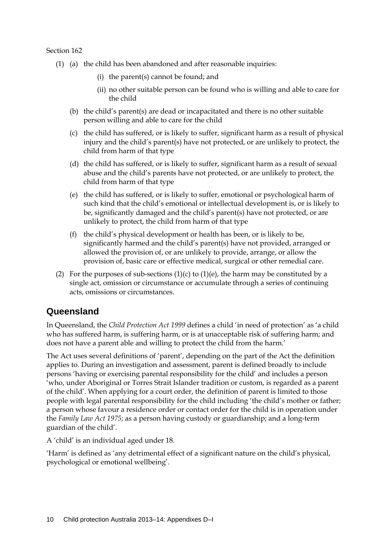Section 162

- (1) (a) the child has been abandoned and after reasonable inquiries:
	- (i) the parent(s) cannot be found; and
	- (ii) no other suitable person can be found who is willing and able to care for the child
	- (b) the child's parent(s) are dead or incapacitated and there is no other suitable person willing and able to care for the child
	- (c) the child has suffered, or is likely to suffer, significant harm as a result of physical injury and the child's parent(s) have not protected, or are unlikely to protect, the child from harm of that type
	- (d) the child has suffered, or is likely to suffer, significant harm as a result of sexual abuse and the child's parents have not protected, or are unlikely to protect, the child from harm of that type
	- (e) the child has suffered, or is likely to suffer, emotional or psychological harm of such kind that the child's emotional or intellectual development is, or is likely to be, significantly damaged and the child's parent(s) have not protected, or are unlikely to protect, the child from harm of that type
	- (f) the child's physical development or health has been, or is likely to be, significantly harmed and the child's parent(s) have not provided, arranged or allowed the provision of, or are unlikely to provide, arrange, or allow the provision of, basic care or effective medical, surgical or other remedial care.
- (2) For the purposes of sub-sections  $(1)(c)$  to  $(1)(e)$ , the harm may be constituted by a single act, omission or circumstance or accumulate through a series of continuing acts, omissions or circumstances.

### **Queensland**

In Queensland, the *Child Protection Act 1999* defines a child 'in need of protection' as 'a child who has suffered harm, is suffering harm, or is at unacceptable risk of suffering harm; and does not have a parent able and willing to protect the child from the harm.'

The Act uses several definitions of 'parent', depending on the part of the Act the definition applies to. During an investigation and assessment, parent is defined broadly to include persons 'having or exercising parental responsibility for the child' and includes a person 'who, under Aboriginal or Torres Strait Islander tradition or custom, is regarded as a parent of the child'. When applying for a court order, the definition of parent is limited to those people with legal parental responsibility for the child including 'the child's mother or father; a person whose favour a residence order or contact order for the child is in operation under the *Family Law Act 1975*; as a person having custody or guardianship; and a long-term guardian of the child'.

A 'child' is an individual aged under 18.

'Harm' is defined as 'any detrimental effect of a significant nature on the child's physical, psychological or emotional wellbeing'.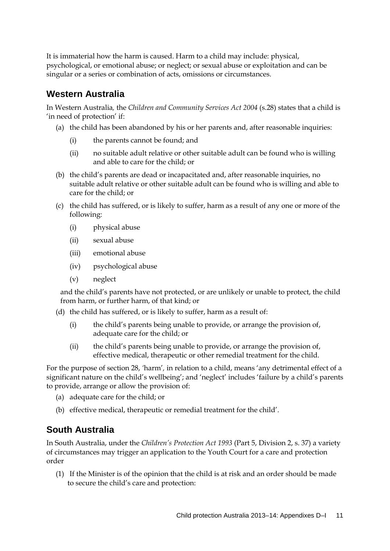It is immaterial how the harm is caused. Harm to a child may include: physical, psychological, or emotional abuse; or neglect; or sexual abuse or exploitation and can be singular or a series or combination of acts, omissions or circumstances.

#### **Western Australia**

In Western Australia*,* the *Children and Community Services Act 2004* (s.28) states that a child is 'in need of protection' if:

- (a) the child has been abandoned by his or her parents and, after reasonable inquiries:
	- (i) the parents cannot be found; and
	- (ii) no suitable adult relative or other suitable adult can be found who is willing and able to care for the child; or
- (b) the child's parents are dead or incapacitated and, after reasonable inquiries, no suitable adult relative or other suitable adult can be found who is willing and able to care for the child; or
- (c) the child has suffered, or is likely to suffer, harm as a result of any one or more of the following:
	- (i) physical abuse
	- (ii) sexual abuse
	- (iii) emotional abuse
	- (iv) psychological abuse
	- (v) neglect

and the child's parents have not protected, or are unlikely or unable to protect, the child from harm, or further harm, of that kind; or

- (d) the child has suffered, or is likely to suffer, harm as a result of:
	- (i) the child's parents being unable to provide, or arrange the provision of, adequate care for the child; or
	- (ii) the child's parents being unable to provide, or arrange the provision of, effective medical, therapeutic or other remedial treatment for the child.

For the purpose of section 28, *'*harm'*,* in relation to a child, means 'any detrimental effect of a significant nature on the child's wellbeing'; and 'neglect' includes 'failure by a child's parents to provide, arrange or allow the provision of:

- (a) adequate care for the child; or
- (b) effective medical, therapeutic or remedial treatment for the child'.

### **South Australia**

In South Australia, under the *Children's Protection Act 1993* (Part 5, Division 2, s. 37) a variety of circumstances may trigger an application to the Youth Court for a care and protection order

(1) If the Minister is of the opinion that the child is at risk and an order should be made to secure the child's care and protection: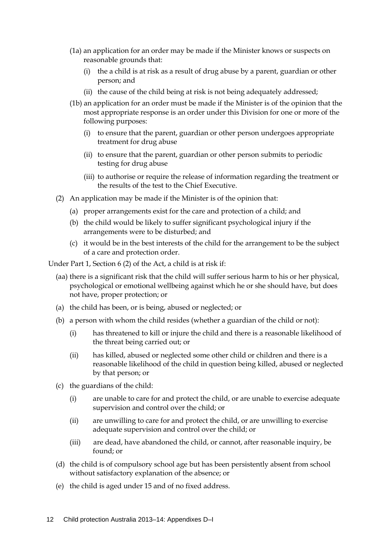- (1a) an application for an order may be made if the Minister knows or suspects on reasonable grounds that:
	- (i) the a child is at risk as a result of drug abuse by a parent, guardian or other person; and
	- (ii) the cause of the child being at risk is not being adequately addressed;
- (1b) an application for an order must be made if the Minister is of the opinion that the most appropriate response is an order under this Division for one or more of the following purposes:
	- (i) to ensure that the parent, guardian or other person undergoes appropriate treatment for drug abuse
	- (ii) to ensure that the parent, guardian or other person submits to periodic testing for drug abuse
	- (iii) to authorise or require the release of information regarding the treatment or the results of the test to the Chief Executive.
- (2) An application may be made if the Minister is of the opinion that:
	- (a) proper arrangements exist for the care and protection of a child; and
	- (b) the child would be likely to suffer significant psychological injury if the arrangements were to be disturbed; and
	- (c) it would be in the best interests of the child for the arrangement to be the subject of a care and protection order.

Under Part 1, Section 6 (2) of the Act, a child is at risk if:

- (aa) there is a significant risk that the child will suffer serious harm to his or her physical, psychological or emotional wellbeing against which he or she should have, but does not have, proper protection; or
- (a) the child has been, or is being, abused or neglected; or
- (b) a person with whom the child resides (whether a guardian of the child or not):
	- (i) has threatened to kill or injure the child and there is a reasonable likelihood of the threat being carried out; or
	- (ii) has killed, abused or neglected some other child or children and there is a reasonable likelihood of the child in question being killed, abused or neglected by that person; or
- (c) the guardians of the child:
	- (i) are unable to care for and protect the child, or are unable to exercise adequate supervision and control over the child; or
	- (ii) are unwilling to care for and protect the child, or are unwilling to exercise adequate supervision and control over the child; or
	- (iii) are dead, have abandoned the child, or cannot, after reasonable inquiry, be found; or
- (d) the child is of compulsory school age but has been persistently absent from school without satisfactory explanation of the absence; or
- (e) the child is aged under 15 and of no fixed address.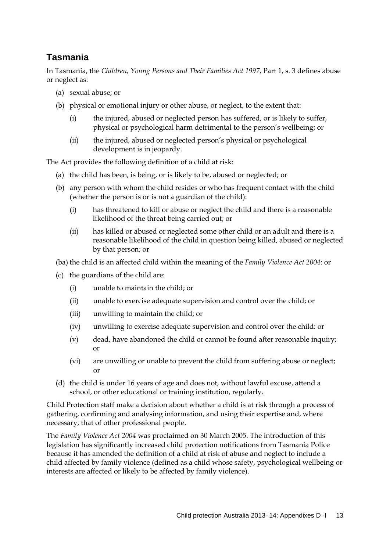### **Tasmania**

In Tasmania, the *Children, Young Persons and Their Families Act 1997*, Part 1, s. 3 defines abuse or neglect as:

- (a) sexual abuse; or
- (b) physical or emotional injury or other abuse, or neglect, to the extent that:
	- (i) the injured, abused or neglected person has suffered, or is likely to suffer, physical or psychological harm detrimental to the person's wellbeing; or
	- (ii) the injured, abused or neglected person's physical or psychological development is in jeopardy.

The Act provides the following definition of a child at risk:

- (a) the child has been, is being, or is likely to be, abused or neglected; or
- (b) any person with whom the child resides or who has frequent contact with the child (whether the person is or is not a guardian of the child):
	- (i) has threatened to kill or abuse or neglect the child and there is a reasonable likelihood of the threat being carried out; or
	- (ii) has killed or abused or neglected some other child or an adult and there is a reasonable likelihood of the child in question being killed, abused or neglected by that person; or

(ba) the child is an affected child within the meaning of the *Family Violence Act 2004*: or

- (c) the guardians of the child are:
	- (i) unable to maintain the child; or
	- (ii) unable to exercise adequate supervision and control over the child; or
	- (iii) unwilling to maintain the child; or
	- (iv) unwilling to exercise adequate supervision and control over the child: or
	- (v) dead, have abandoned the child or cannot be found after reasonable inquiry; or
	- (vi) are unwilling or unable to prevent the child from suffering abuse or neglect; or
- (d) the child is under 16 years of age and does not, without lawful excuse, attend a school, or other educational or training institution, regularly.

Child Protection staff make a decision about whether a child is at risk through a process of gathering, confirming and analysing information, and using their expertise and, where necessary, that of other professional people.

The *Family Violence Act 2004* was proclaimed on 30 March 2005. The introduction of this legislation has significantly increased child protection notifications from Tasmania Police because it has amended the definition of a child at risk of abuse and neglect to include a child affected by family violence (defined as a child whose safety, psychological wellbeing or interests are affected or likely to be affected by family violence).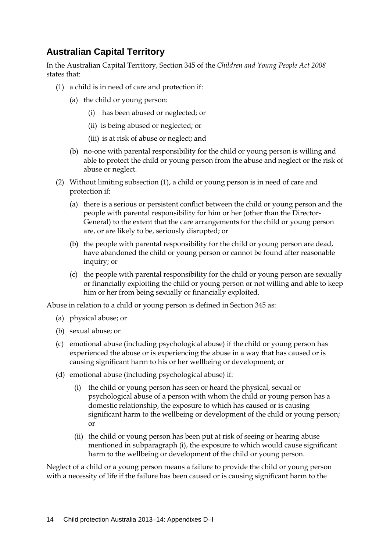### **Australian Capital Territory**

In the Australian Capital Territory, Section 345 of the *Children and Young People Act 2008* states that:

- (1) a child is in need of care and protection if:
	- (a) the child or young person:
		- (i) has been abused or neglected; or
		- (ii) is being abused or neglected; or
		- (iii) is at risk of abuse or neglect; and
	- (b) no-one with parental responsibility for the child or young person is willing and able to protect the child or young person from the abuse and neglect or the risk of abuse or neglect.
- (2) Without limiting subsection (1), a child or young person is in need of care and protection if:
	- (a) there is a serious or persistent conflict between the child or young person and the people with parental responsibility for him or her (other than the Director-General) to the extent that the care arrangements for the child or young person are, or are likely to be, seriously disrupted; or
	- (b) the people with parental responsibility for the child or young person are dead, have abandoned the child or young person or cannot be found after reasonable inquiry; or
	- (c) the people with parental responsibility for the child or young person are sexually or financially exploiting the child or young person or not willing and able to keep him or her from being sexually or financially exploited.

Abuse in relation to a child or young person is defined in Section 345 as:

- (a) physical abuse; or
- (b) sexual abuse; or
- (c) emotional abuse (including psychological abuse) if the child or young person has experienced the abuse or is experiencing the abuse in a way that has caused or is causing significant harm to his or her wellbeing or development; or
- (d) emotional abuse (including psychological abuse) if:
	- (i) the child or young person has seen or heard the physical, sexual or psychological abuse of a person with whom the child or young person has a domestic relationship, the exposure to which has caused or is causing significant harm to the wellbeing or development of the child or young person; or
	- (ii) the child or young person has been put at risk of seeing or hearing abuse mentioned in subparagraph (i), the exposure to which would cause significant harm to the wellbeing or development of the child or young person.

Neglect of a child or a young person means a failure to provide the child or young person with a necessity of life if the failure has been caused or is causing significant harm to the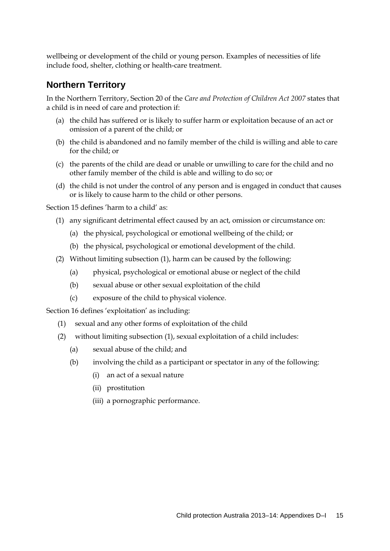wellbeing or development of the child or young person. Examples of necessities of life include food, shelter, clothing or health-care treatment.

#### **Northern Territory**

In the Northern Territory, Section 20 of the *Care and Protection of Children Act 2007* states that a child is in need of care and protection if:

- (a) the child has suffered or is likely to suffer harm or exploitation because of an act or omission of a parent of the child; or
- (b) the child is abandoned and no family member of the child is willing and able to care for the child; or
- (c) the parents of the child are dead or unable or unwilling to care for the child and no other family member of the child is able and willing to do so; or
- (d) the child is not under the control of any person and is engaged in conduct that causes or is likely to cause harm to the child or other persons.

Section 15 defines 'harm to a child' as:

- (1) any significant detrimental effect caused by an act, omission or circumstance on:
	- (a) the physical, psychological or emotional wellbeing of the child; or
	- (b) the physical, psychological or emotional development of the child.
- (2) Without limiting subsection (1), harm can be caused by the following:
	- (a) physical, psychological or emotional abuse or neglect of the child
	- (b) sexual abuse or other sexual exploitation of the child
	- (c) exposure of the child to physical violence.

Section 16 defines 'exploitation' as including:

- (1) sexual and any other forms of exploitation of the child
- (2) without limiting subsection (1), sexual exploitation of a child includes:
	- (a) sexual abuse of the child; and
	- (b) involving the child as a participant or spectator in any of the following:
		- (i) an act of a sexual nature
		- (ii) prostitution
		- (iii) a pornographic performance.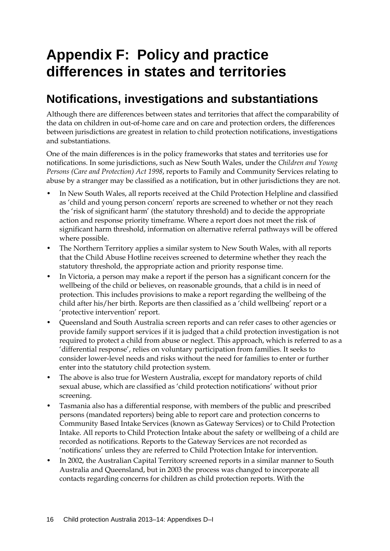# **Appendix F: Policy and practice differences in states and territories**

### **Notifications, investigations and substantiations**

Although there are differences between states and territories that affect the comparability of the data on children in out-of-home care and on care and protection orders, the differences between jurisdictions are greatest in relation to child protection notifications, investigations and substantiations.

One of the main differences is in the policy frameworks that states and territories use for notifications. In some jurisdictions, such as New South Wales, under the *Children and Young Persons (Care and Protection) Act 1998*, reports to Family and Community Services relating to abuse by a stranger may be classified as a notification, but in other jurisdictions they are not.

- In New South Wales, all reports received at the Child Protection Helpline and classified as 'child and young person concern' reports are screened to whether or not they reach the 'risk of significant harm' (the statutory threshold) and to decide the appropriate action and response priority timeframe. Where a report does not meet the risk of significant harm threshold, information on alternative referral pathways will be offered where possible.
- The Northern Territory applies a similar system to New South Wales, with all reports that the Child Abuse Hotline receives screened to determine whether they reach the statutory threshold, the appropriate action and priority response time.
- In Victoria, a person may make a report if the person has a significant concern for the wellbeing of the child or believes, on reasonable grounds, that a child is in need of protection. This includes provisions to make a report regarding the wellbeing of the child after his/her birth. Reports are then classified as a 'child wellbeing' report or a 'protective intervention' report.
- Queensland and South Australia screen reports and can refer cases to other agencies or provide family support services if it is judged that a child protection investigation is not required to protect a child from abuse or neglect. This approach, which is referred to as a 'differential response', relies on voluntary participation from families. It seeks to consider lower-level needs and risks without the need for families to enter or further enter into the statutory child protection system.
- The above is also true for Western Australia, except for mandatory reports of child sexual abuse, which are classified as 'child protection notifications' without prior screening.
- Tasmania also has a differential response, with members of the public and prescribed persons (mandated reporters) being able to report care and protection concerns to Community Based Intake Services (known as Gateway Services) or to Child Protection Intake. All reports to Child Protection Intake about the safety or wellbeing of a child are recorded as notifications. Reports to the Gateway Services are not recorded as 'notifications' unless they are referred to Child Protection Intake for intervention.
- In 2002, the Australian Capital Territory screened reports in a similar manner to South Australia and Queensland, but in 2003 the process was changed to incorporate all contacts regarding concerns for children as child protection reports. With the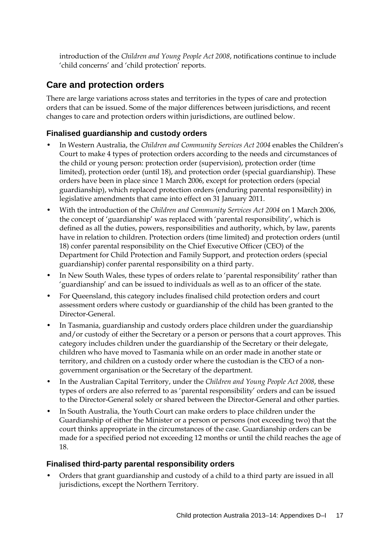introduction of the *Children and Young People Act 2008*, notifications continue to include 'child concerns' and 'child protection' reports.

### **Care and protection orders**

There are large variations across states and territories in the types of care and protection orders that can be issued. Some of the major differences between jurisdictions, and recent changes to care and protection orders within jurisdictions, are outlined below.

#### **Finalised guardianship and custody orders**

- In Western Australia, the *Children and Community Services Act 2004* enables the Children's Court to make 4 types of protection orders according to the needs and circumstances of the child or young person: protection order (supervision), protection order (time limited), protection order (until 18), and protection order (special guardianship). These orders have been in place since 1 March 2006, except for protection orders (special guardianship), which replaced protection orders (enduring parental responsibility) in legislative amendments that came into effect on 31 January 2011.
- With the introduction of the *Children and Community Services Act 2004* on 1 March 2006, the concept of 'guardianship' was replaced with 'parental responsibility', which is defined as all the duties, powers, responsibilities and authority, which, by law, parents have in relation to children. Protection orders (time limited) and protection orders (until 18) confer parental responsibility on the Chief Executive Officer (CEO) of the Department for Child Protection and Family Support, and protection orders (special guardianship) confer parental responsibility on a third party.
- In New South Wales, these types of orders relate to 'parental responsibility' rather than 'guardianship' and can be issued to individuals as well as to an officer of the state.
- For Queensland, this category includes finalised child protection orders and court assessment orders where custody or guardianship of the child has been granted to the Director-General.
- In Tasmania, guardianship and custody orders place children under the guardianship and/or custody of either the Secretary or a person or persons that a court approves. This category includes children under the guardianship of the Secretary or their delegate, children who have moved to Tasmania while on an order made in another state or territory, and children on a custody order where the custodian is the CEO of a nongovernment organisation or the Secretary of the department.
- In the Australian Capital Territory, under the *Children and Young People Act 2008*, these types of orders are also referred to as 'parental responsibility' orders and can be issued to the Director-General solely or shared between the Director-General and other parties.
- In South Australia, the Youth Court can make orders to place children under the Guardianship of either the Minister or a person or persons (not exceeding two) that the court thinks appropriate in the circumstances of the case. Guardianship orders can be made for a specified period not exceeding 12 months or until the child reaches the age of 18.

#### **Finalised third-party parental responsibility orders**

• Orders that grant guardianship and custody of a child to a third party are issued in all jurisdictions, except the Northern Territory.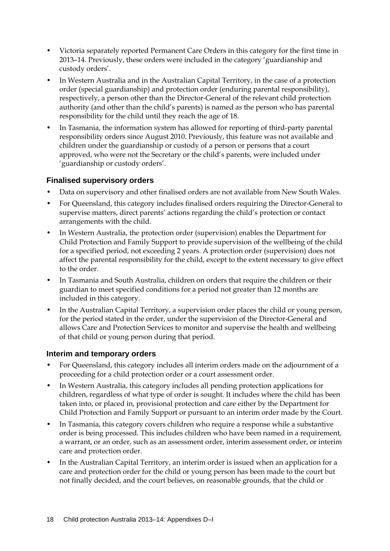- Victoria separately reported Permanent Care Orders in this category for the first time in 2013–14. Previously, these orders were included in the category 'guardianship and custody orders'.
- In Western Australia and in the Australian Capital Territory, in the case of a protection order (special guardianship) and protection order (enduring parental responsibility), respectively, a person other than the Director-General of the relevant child protection authority (and other than the child's parents) is named as the person who has parental responsibility for the child until they reach the age of 18.
- In Tasmania, the information system has allowed for reporting of third-party parental responsibility orders since August 2010. Previously, this feature was not available and children under the guardianship or custody of a person or persons that a court approved, who were not the Secretary or the child's parents, were included under 'guardianship or custody orders'.

#### **Finalised supervisory orders**

- Data on supervisory and other finalised orders are not available from New South Wales.
- For Queensland, this category includes finalised orders requiring the Director-General to supervise matters, direct parents' actions regarding the child's protection or contact arrangements with the child.
- In Western Australia, the protection order (supervision) enables the Department for Child Protection and Family Support to provide supervision of the wellbeing of the child for a specified period, not exceeding 2 years. A protection order (supervision) does not affect the parental responsibility for the child, except to the extent necessary to give effect to the order.
- In Tasmania and South Australia, children on orders that require the children or their guardian to meet specified conditions for a period not greater than 12 months are included in this category.
- In the Australian Capital Territory, a supervision order places the child or young person, for the period stated in the order, under the supervision of the Director-General and allows Care and Protection Services to monitor and supervise the health and wellbeing of that child or young person during that period.

#### **Interim and temporary orders**

- For Queensland, this category includes all interim orders made on the adjournment of a proceeding for a child protection order or a court assessment order.
- In Western Australia, this category includes all pending protection applications for children, regardless of what type of order is sought. It includes where the child has been taken into, or placed in, provisional protection and care either by the Department for Child Protection and Family Support or pursuant to an interim order made by the Court.
- In Tasmania, this category covers children who require a response while a substantive order is being processed. This includes children who have been named in a requirement, a warrant, or an order, such as an assessment order, interim assessment order, or interim care and protection order.
- In the Australian Capital Territory, an interim order is issued when an application for a care and protection order for the child or young person has been made to the court but not finally decided, and the court believes, on reasonable grounds, that the child or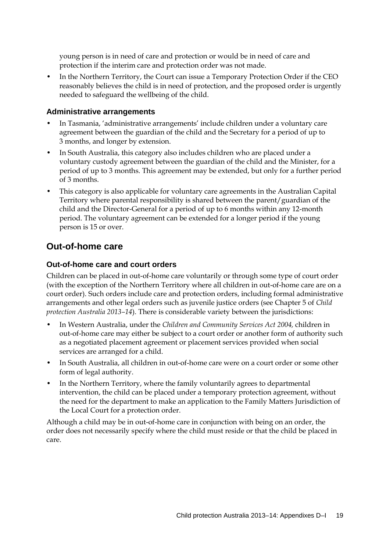young person is in need of care and protection or would be in need of care and protection if the interim care and protection order was not made.

• In the Northern Territory, the Court can issue a Temporary Protection Order if the CEO reasonably believes the child is in need of protection, and the proposed order is urgently needed to safeguard the wellbeing of the child.

#### **Administrative arrangements**

- In Tasmania, 'administrative arrangements' include children under a voluntary care agreement between the guardian of the child and the Secretary for a period of up to 3 months, and longer by extension.
- In South Australia, this category also includes children who are placed under a voluntary custody agreement between the guardian of the child and the Minister, for a period of up to 3 months. This agreement may be extended, but only for a further period of 3 months.
- This category is also applicable for voluntary care agreements in the Australian Capital Territory where parental responsibility is shared between the parent/guardian of the child and the Director-General for a period of up to 6 months within any 12-month period. The voluntary agreement can be extended for a longer period if the young person is 15 or over.

#### **Out-of-home care**

#### **Out-of-home care and court orders**

Children can be placed in out-of-home care voluntarily or through some type of court order (with the exception of the Northern Territory where all children in out-of-home care are on a court order). Such orders include care and protection orders, including formal administrative arrangements and other legal orders such as juvenile justice orders (see Chapter 5 of *Child protection Australia 2013–14*). There is considerable variety between the jurisdictions:

- In Western Australia, under the *Children and Community Services Act 2004,* children in out-of-home care may either be subject to a court order or another form of authority such as a negotiated placement agreement or placement services provided when social services are arranged for a child.
- In South Australia, all children in out-of-home care were on a court order or some other form of legal authority.
- In the Northern Territory, where the family voluntarily agrees to departmental intervention, the child can be placed under a temporary protection agreement, without the need for the department to make an application to the Family Matters Jurisdiction of the Local Court for a protection order.

Although a child may be in out-of-home care in conjunction with being on an order, the order does not necessarily specify where the child must reside or that the child be placed in care.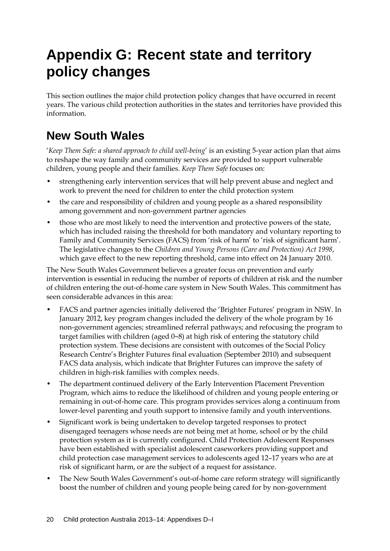# **Appendix G: Recent state and territory policy changes**

This section outlines the major child protection policy changes that have occurred in recent years. The various child protection authorities in the states and territories have provided this information.

# **New South Wales**

'*Keep Them Safe: a shared approach to child well-being*' is an existing 5-year action plan that aims to reshape the way family and community services are provided to support vulnerable children, young people and their families. *Keep Them Safe* focuses on:

- strengthening early intervention services that will help prevent abuse and neglect and work to prevent the need for children to enter the child protection system
- the care and responsibility of children and young people as a shared responsibility among government and non-government partner agencies
- those who are most likely to need the intervention and protective powers of the state, which has included raising the threshold for both mandatory and voluntary reporting to Family and Community Services (FACS) from 'risk of harm' to 'risk of significant harm'. The legislative changes to the *Children and Young Persons (Care and Protection) Act 1998*, which gave effect to the new reporting threshold, came into effect on 24 January 2010.

The New South Wales Government believes a greater focus on prevention and early intervention is essential in reducing the number of reports of children at risk and the number of children entering the out-of-home care system in New South Wales. This commitment has seen considerable advances in this area:

- FACS and partner agencies initially delivered the 'Brighter Futures' program in NSW. In January 2012, key program changes included the delivery of the whole program by 16 non-government agencies; streamlined referral pathways; and refocusing the program to target families with children (aged 0‒8) at high risk of entering the statutory child protection system. These decisions are consistent with outcomes of the Social Policy Research Centre's Brighter Futures final evaluation (September 2010) and subsequent FACS data analysis, which indicate that Brighter Futures can improve the safety of children in high-risk families with complex needs.
- The department continued delivery of the Early Intervention Placement Prevention Program, which aims to reduce the likelihood of children and young people entering or remaining in out-of-home care. This program provides services along a continuum from lower-level parenting and youth support to intensive family and youth interventions.
- Significant work is being undertaken to develop targeted responses to protect disengaged teenagers whose needs are not being met at home, school or by the child protection system as it is currently configured. Child Protection Adolescent Responses have been established with specialist adolescent caseworkers providing support and child protection case management services to adolescents aged 12–17 years who are at risk of significant harm, or are the subject of a request for assistance.
- The New South Wales Government's out-of-home care reform strategy will significantly boost the number of children and young people being cared for by non-government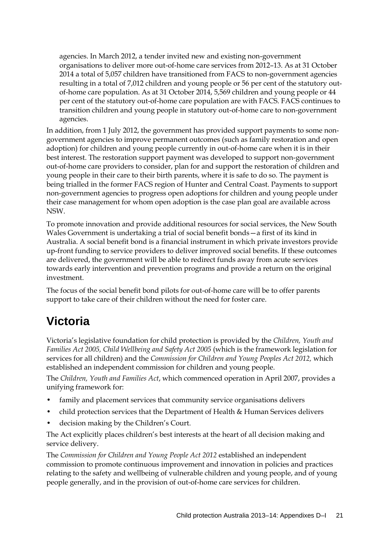agencies. In March 2012, a tender invited new and existing non-government organisations to deliver more out-of-home care services from 2012–13. As at 31 October 2014 a total of 5,057 children have transitioned from FACS to non-government agencies resulting in a total of 7,012 children and young people or 56 per cent of the statutory outof-home care population. As at 31 October 2014, 5,569 children and young people or 44 per cent of the statutory out-of-home care population are with FACS. FACS continues to transition children and young people in statutory out-of-home care to non-government agencies.

In addition, from 1 July 2012, the government has provided support payments to some nongovernment agencies to improve permanent outcomes (such as family restoration and open adoption) for children and young people currently in out-of-home care when it is in their best interest. The restoration support payment was developed to support non-government out-of-home care providers to consider, plan for and support the restoration of children and young people in their care to their birth parents, where it is safe to do so. The payment is being trialled in the former FACS region of Hunter and Central Coast. Payments to support non-government agencies to progress open adoptions for children and young people under their case management for whom open adoption is the case plan goal are available across NSW.

To promote innovation and provide additional resources for social services, the New South Wales Government is undertaking a trial of social benefit bonds—a first of its kind in Australia. A social benefit bond is a financial instrument in which private investors provide up-front funding to service providers to deliver improved social benefits. If these outcomes are delivered, the government will be able to redirect funds away from acute services towards early intervention and prevention programs and provide a return on the original investment.

The focus of the social benefit bond pilots for out-of-home care will be to offer parents support to take care of their children without the need for foster care.

# **Victoria**

Victoria's legislative foundation for child protection is provided by the *Children, Youth and Families Act 2005, Child Wellbeing and Safety Act 2005* (which is the framework legislation for services for all children) and the *Commission for Children and Young Peoples Act 2012,* which established an independent commission for children and young people.

The *Children, Youth and Families Act*, which commenced operation in April 2007, provides a unifying framework for:

- family and placement services that community service organisations delivers
- child protection services that the Department of Health & Human Services delivers
- decision making by the Children's Court.

The Act explicitly places children's best interests at the heart of all decision making and service delivery.

The *Commission for Children and Young People Act 2012* established an independent commission to promote continuous improvement and innovation in policies and practices relating to the safety and wellbeing of vulnerable children and young people, and of young people generally, and in the provision of out-of-home care services for children.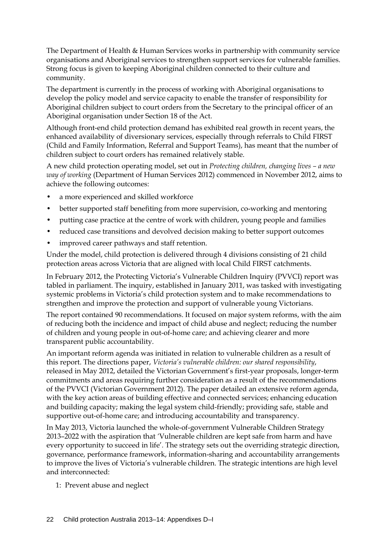The Department of Health & Human Services works in partnership with community service organisations and Aboriginal services to strengthen support services for vulnerable families. Strong focus is given to keeping Aboriginal children connected to their culture and community.

The department is currently in the process of working with Aboriginal organisations to develop the policy model and service capacity to enable the transfer of responsibility for Aboriginal children subject to court orders from the Secretary to the principal officer of an Aboriginal organisation under Section 18 of the Act.

Although front-end child protection demand has exhibited real growth in recent years, the enhanced availability of diversionary services, especially through referrals to Child FIRST (Child and Family Information, Referral and Support Teams), has meant that the number of children subject to court orders has remained relatively stable.

A new child protection operating model, set out in *Protecting children, changing lives – a new way of working* (Department of Human Services 2012) commenced in November 2012, aims to achieve the following outcomes:

- a more experienced and skilled workforce
- better supported staff benefiting from more supervision, co-working and mentoring
- putting case practice at the centre of work with children, young people and families
- reduced case transitions and devolved decision making to better support outcomes
- improved career pathways and staff retention.

Under the model, child protection is delivered through 4 divisions consisting of 21 child protection areas across Victoria that are aligned with local Child FIRST catchments.

In February 2012, the Protecting Victoria's Vulnerable Children Inquiry (PVVCI) report was tabled in parliament. The inquiry, established in January 2011, was tasked with investigating systemic problems in Victoria's child protection system and to make recommendations to strengthen and improve the protection and support of vulnerable young Victorians.

The report contained 90 recommendations. It focused on major system reforms, with the aim of reducing both the incidence and impact of child abuse and neglect; reducing the number of children and young people in out-of-home care; and achieving clearer and more transparent public accountability.

An important reform agenda was initiated in relation to vulnerable children as a result of this report. The directions paper, *Victoria's vulnerable children: our shared responsibility*, released in May 2012, detailed the Victorian Government's first-year proposals, longer-term commitments and areas requiring further consideration as a result of the recommendations of the PVVCI (Victorian Government 2012). The paper detailed an extensive reform agenda, with the key action areas of building effective and connected services; enhancing education and building capacity; making the legal system child-friendly; providing safe, stable and supportive out-of-home care; and introducing accountability and transparency.

In May 2013, Victoria launched the whole-of-government Vulnerable Children Strategy 2013–2022 with the aspiration that *'*Vulnerable children are kept safe from harm and have every opportunity to succeed in life'*.* The strategy sets out the overriding strategic direction, governance, performance framework, information-sharing and accountability arrangements to improve the lives of Victoria's vulnerable children. The strategic intentions are high level and interconnected:

1: Prevent abuse and neglect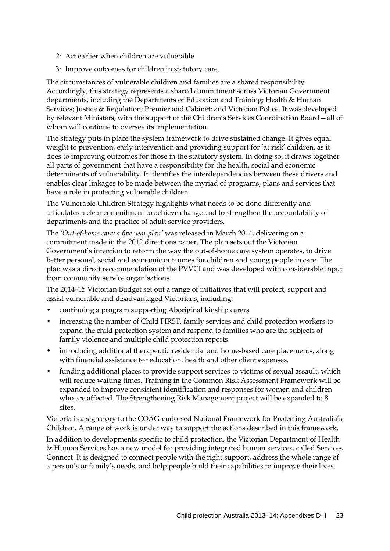- 2: Act earlier when children are vulnerable
- 3: Improve outcomes for children in statutory care.

The circumstances of vulnerable children and families are a shared responsibility. Accordingly, this strategy represents a shared commitment across Victorian Government departments, including the Departments of Education and Training; Health & Human Services; Justice & Regulation; Premier and Cabinet; and Victorian Police. It was developed by relevant Ministers, with the support of the Children's Services Coordination Board—all of whom will continue to oversee its implementation.

The strategy puts in place the system framework to drive sustained change. It gives equal weight to prevention, early intervention and providing support for 'at risk' children, as it does to improving outcomes for those in the statutory system. In doing so, it draws together all parts of government that have a responsibility for the health, social and economic determinants of vulnerability. It identifies the interdependencies between these drivers and enables clear linkages to be made between the myriad of programs, plans and services that have a role in protecting vulnerable children.

The Vulnerable Children Strategy highlights what needs to be done differently and articulates a clear commitment to achieve change and to strengthen the accountability of departments and the practice of adult service providers.

The *'Out-of-home care: a five year plan'* was released in March 2014, delivering on a commitment made in the 2012 directions paper. The plan sets out the Victorian Government's intention to reform the way the out-of-home care system operates, to drive better personal, social and economic outcomes for children and young people in care. The plan was a direct recommendation of the PVVCI and was developed with considerable input from community service organisations.

The 2014–15 Victorian Budget set out a range of initiatives that will protect, support and assist vulnerable and disadvantaged Victorians, including:

- continuing a program supporting Aboriginal kinship carers
- increasing the number of Child FIRST, family services and child protection workers to expand the child protection system and respond to families who are the subjects of family violence and multiple child protection reports
- introducing additional therapeutic residential and home-based care placements, along with financial assistance for education, health and other client expenses.
- funding additional places to provide support services to victims of sexual assault, which will reduce waiting times. Training in the Common Risk Assessment Framework will be expanded to improve consistent identification and responses for women and children who are affected. The Strengthening Risk Management project will be expanded to 8 sites.

Victoria is a signatory to the COAG-endorsed National Framework for Protecting Australia's Children. A range of work is under way to support the actions described in this framework.

In addition to developments specific to child protection, the Victorian Department of Health & Human Services has a new model for providing integrated human services, called Services Connect. It is designed to connect people with the right support, address the whole range of a person's or family's needs, and help people build their capabilities to improve their lives.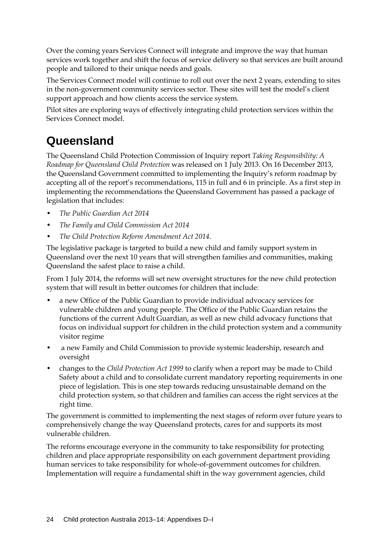Over the coming years Services Connect will integrate and improve the way that human services work together and shift the focus of service delivery so that services are built around people and tailored to their unique needs and goals.

The Services Connect model will continue to roll out over the next 2 years, extending to sites in the non-government community services sector. These sites will test the model's client support approach and how clients access the service system.

Pilot sites are exploring ways of effectively integrating child protection services within the Services Connect model.

# **Queensland**

The Queensland Child Protection Commission of Inquiry report *Taking Responsibility: A Roadmap for Queensland Child Protection* was released on 1 July 2013. On 16 December 2013, the Queensland Government committed to implementing the Inquiry's reform roadmap by accepting all of the report's recommendations, 115 in full and 6 in principle. As a first step in implementing the recommendations the Queensland Government has passed a package of legislation that includes:

- *The Public Guardian Act 2014*
- *The Family and Child Commission Act 2014*
- *The Child Protection Reform Amendment Act 2014.*

The legislative package is targeted to build a new child and family support system in Queensland over the next 10 years that will strengthen families and communities, making Queensland the safest place to raise a child.

From 1 July 2014, the reforms will set new oversight structures for the new child protection system that will result in better outcomes for children that include:

- a new Office of the Public Guardian to provide individual advocacy services for vulnerable children and young people. The Office of the Public Guardian retains the functions of the current Adult Guardian, as well as new child advocacy functions that focus on individual support for children in the child protection system and a community visitor regime
- a new Family and Child Commission to provide systemic leadership, research and oversight
- changes to the *Child Protection Act 1999* to clarify when a report may be made to Child Safety about a child and to consolidate current mandatory reporting requirements in one piece of legislation. This is one step towards reducing unsustainable demand on the child protection system, so that children and families can access the right services at the right time.

The government is committed to implementing the next stages of reform over future years to comprehensively change the way Queensland protects, cares for and supports its most vulnerable children.

The reforms encourage everyone in the community to take responsibility for protecting children and place appropriate responsibility on each government department providing human services to take responsibility for whole-of-government outcomes for children. Implementation will require a fundamental shift in the way government agencies, child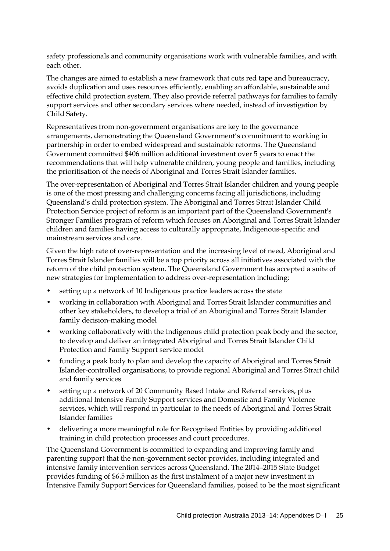safety professionals and community organisations work with vulnerable families, and with each other.

The changes are aimed to establish a new framework that cuts red tape and bureaucracy, avoids duplication and uses resources efficiently, enabling an affordable, sustainable and effective child protection system. They also provide referral pathways for families to family support services and other secondary services where needed, instead of investigation by Child Safety.

Representatives from non-government organisations are key to the governance arrangements, demonstrating the Queensland Government's commitment to working in partnership in order to embed widespread and sustainable reforms. The Queensland Government committed \$406 million additional investment over 5 years to enact the recommendations that will help vulnerable children, young people and families, including the prioritisation of the needs of Aboriginal and Torres Strait Islander families.

The over-representation of Aboriginal and Torres Strait Islander children and young people is one of the most pressing and challenging concerns facing all jurisdictions, including Queensland's child protection system. The Aboriginal and Torres Strait Islander Child Protection Service project of reform is an important part of the Queensland Government's [Stronger Families](http://www.qld.gov.au/strongerfamilies) program of reform which focuses on Aboriginal and Torres Strait Islander children and families having access to culturally appropriate, Indigenous-specific and mainstream services and care.

Given the high rate of over-representation and the increasing level of need, Aboriginal and Torres Strait Islander families will be a top priority across all initiatives associated with the reform of the child protection system. The Queensland Government has accepted a suite of new strategies for implementation to address over-representation including:

- setting up a network of 10 Indigenous practice leaders across the state
- working in collaboration with Aboriginal and Torres Strait Islander communities and other key stakeholders, to develop a trial of an Aboriginal and Torres Strait Islander family decision-making model
- working collaboratively with the Indigenous child protection peak body and the sector, to develop and deliver an integrated Aboriginal and Torres Strait Islander Child Protection and Family Support service model
- funding a peak body to plan and develop the capacity of Aboriginal and Torres Strait Islander-controlled organisations, to provide regional Aboriginal and Torres Strait child and family services
- setting up a network of 20 Community Based Intake and Referral services, plus additional Intensive Family Support services and Domestic and Family Violence services, which will respond in particular to the needs of Aboriginal and Torres Strait Islander families
- delivering a more meaningful role for Recognised Entities by providing additional training in child protection processes and court procedures.

The Queensland Government is committed to expanding and improving family and parenting support that the non-government sector provides, including integrated and intensive family intervention services across Queensland. The 2014–2015 State Budget provides funding of \$6.5 million as the first instalment of a major new investment in Intensive Family Support Services for Queensland families, poised to be the most significant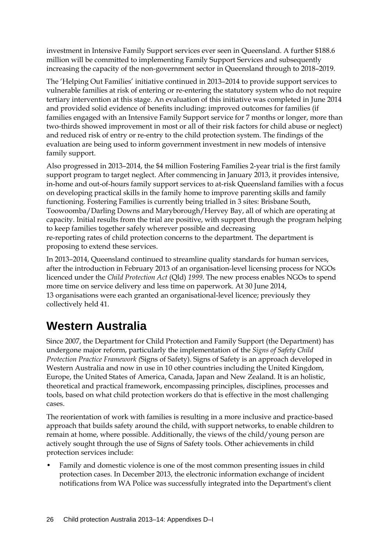investment in Intensive Family Support services ever seen in Queensland. A further \$188.6 million will be committed to implementing Family Support Services and subsequently increasing the capacity of the non-government sector in Queensland through to 2018–2019.

The 'Helping Out Families' initiative continued in 2013–2014 to provide support services to vulnerable families at risk of entering or re-entering the statutory system who do not require tertiary intervention at this stage. An evaluation of this initiative was completed in June 2014 and provided solid evidence of benefits including: improved outcomes for families (if families engaged with an Intensive Family Support service for 7 months or longer, more than two-thirds showed improvement in most or all of their risk factors for child abuse or neglect) and reduced risk of entry or re-entry to the child protection system. The findings of the evaluation are being used to inform government investment in new models of intensive family support.

Also progressed in 2013–2014, the \$4 million Fostering Families 2-year trial is the first family support program to target neglect. After commencing in January 2013, it provides intensive, in-home and out-of-hours family support services to at-risk Queensland families with a focus on developing practical skills in the family home to improve parenting skills and family functioning. Fostering Families is currently being trialled in 3 sites: Brisbane South, Toowoomba/Darling Downs and Maryborough/Hervey Bay, all of which are operating at capacity. Initial results from the trial are positive, with support through the program helping to keep families together safely wherever possible and decreasing re-reporting rates of child protection concerns to the department. The department is proposing to extend these services.

In 2013–2014, Queensland continued to streamline quality standards for human services, after the introduction in February 2013 of an organisation-level licensing process for NGOs licenced under the *Child Protection Act* (Qld) *1999*. The new process enables NGOs to spend more time on service delivery and less time on paperwork. At 30 June 2014, 13 organisations were each granted an organisational-level licence; previously they collectively held 41.

## **Western Australia**

Since 2007, the Department for Child Protection and Family Support (the Department) has undergone major reform, particularly the implementation of the *Signs of Safety Child Protection Practice Framework (*Signs of Safety). Signs of Safety is an approach developed in Western Australia and now in use in 10 other countries including the United Kingdom, Europe, the United States of America, Canada, Japan and New Zealand. It is an holistic, theoretical and practical framework, encompassing principles, disciplines, processes and tools, based on what child protection workers do that is effective in the most challenging cases.

The reorientation of work with families is resulting in a more inclusive and practice-based approach that builds safety around the child, with support networks, to enable children to remain at home, where possible. Additionally, the views of the child/young person are actively sought through the use of Signs of Safety tools. Other achievements in child protection services include:

• Family and domestic violence is one of the most common presenting issues in child protection cases. In December 2013, the electronic information exchange of incident notifications from WA Police was successfully integrated into the Department's client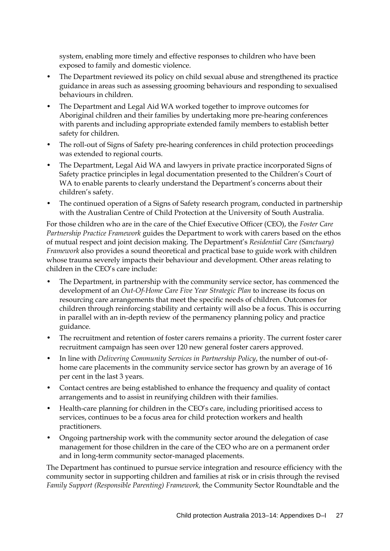system, enabling more timely and effective responses to children who have been exposed to family and domestic violence.

- The Department reviewed its policy on child sexual abuse and strengthened its practice guidance in areas such as assessing grooming behaviours and responding to sexualised behaviours in children.
- The Department and Legal Aid WA worked together to improve outcomes for Aboriginal children and their families by undertaking more pre-hearing conferences with parents and including appropriate extended family members to establish better safety for children.
- The roll-out of Signs of Safety pre-hearing conferences in child protection proceedings was extended to regional courts.
- The Department, Legal Aid WA and lawyers in private practice incorporated Signs of Safety practice principles in legal documentation presented to the Children's Court of WA to enable parents to clearly understand the Department's concerns about their children's safety.
- The continued operation of a Signs of Safety research program, conducted in partnership with the Australian Centre of Child Protection at the University of South Australia.

For those children who are in the care of the Chief Executive Officer (CEO), the *Foster Care Partnership Practice Framework* guides the Department to work with carers based on the ethos of mutual respect and joint decision making. The Department's *Residential Care (Sanctuary) Framework* also provides a sound theoretical and practical base to guide work with children whose trauma severely impacts their behaviour and development. Other areas relating to children in the CEO's care include:

- The Department, in partnership with the community service sector, has commenced the development of an *Out-Of-Home Care Five Year Strategic Plan* to increase its focus on resourcing care arrangements that meet the specific needs of children. Outcomes for children through reinforcing stability and certainty will also be a focus. This is occurring in parallel with an in-depth review of the permanency planning policy and practice guidance.
- The recruitment and retention of foster carers remains a priority. The current foster carer recruitment campaign has seen over 120 new general foster carers approved.
- In line with *Delivering Community Services in Partnership Policy*, the number of out-ofhome care placements in the community service sector has grown by an average of 16 per cent in the last 3 years.
- Contact centres are being established to enhance the frequency and quality of contact arrangements and to assist in reunifying children with their families.
- Health-care planning for children in the CEO's care, including prioritised access to services, continues to be a focus area for child protection workers and health practitioners.
- Ongoing partnership work with the community sector around the delegation of case management for those children in the care of the CEO who are on a permanent order and in long-term community sector-managed placements.

The Department has continued to pursue service integration and resource efficiency with the community sector in supporting children and families at risk or in crisis through the revised *Family Support (Responsible Parenting) Framework,* the Community Sector Roundtable and the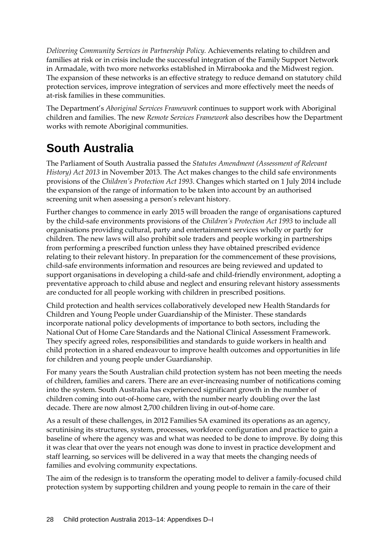*Delivering Community Services in Partnership Policy.* Achievements relating to children and families at risk or in crisis include the successful integration of the Family Support Network in Armadale, with two more networks established in Mirrabooka and the Midwest region. The expansion of these networks is an effective strategy to reduce demand on statutory child protection services, improve integration of services and more effectively meet the needs of at-risk families in these communities.

The Department's *Aboriginal Services Framework* continues to support work with Aboriginal children and families. The new *Remote Services Framework* also describes how the Department works with remote Aboriginal communities.

# **South Australia**

The Parliament of South Australia passed the *Statutes Amendment (Assessment of Relevant History) Act 2013* in November 2013. The Act makes changes to the child safe environments provisions of the *Children's Protection Act 1993*. Changes which started on 1 July 2014 include the expansion of the range of information to be taken into account by an authorised screening unit when assessing a person's relevant history.

Further changes to commence in early 2015 will broaden the range of organisations captured by the child-safe environments provisions of the *Children's Protection Act 1993* to include all organisations providing cultural, party and entertainment services wholly or partly for children. The new laws will also prohibit sole traders and people working in partnerships from performing a prescribed function unless they have obtained prescribed evidence relating to their relevant history. In preparation for the commencement of these provisions, child-safe environments information and resources are being reviewed and updated to support organisations in developing a child-safe and child-friendly environment, adopting a preventative approach to child abuse and neglect and ensuring relevant history assessments are conducted for all people working with children in prescribed positions.

Child protection and health services collaboratively developed new Health Standards for Children and Young People under Guardianship of the Minister. These standards incorporate national policy developments of importance to both sectors, including the National Out of Home Care Standards and the National Clinical Assessment Framework. They specify agreed roles, responsibilities and standards to guide workers in health and child protection in a shared endeavour to improve health outcomes and opportunities in life for children and young people under Guardianship.

For many years the South Australian child protection system has not been meeting the needs of children, families and carers. There are an ever-increasing number of notifications coming into the system. South Australia has experienced significant growth in the number of children coming into out-of-home care, with the number nearly doubling over the last decade. There are now almost 2,700 children living in out-of-home care.

As a result of these challenges, in 2012 Families SA examined its operations as an agency, scrutinising its structures, system, processes, workforce configuration and practice to gain a baseline of where the agency was and what was needed to be done to improve. By doing this it was clear that over the years not enough was done to invest in practice development and staff learning, so services will be delivered in a way that meets the changing needs of families and evolving community expectations.

The aim of the redesign is to transform the operating model to deliver a family-focused child protection system by supporting children and young people to remain in the care of their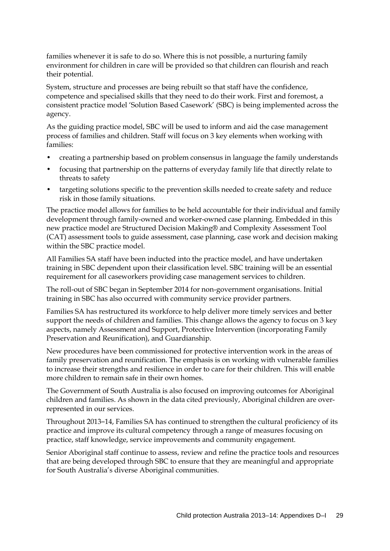families whenever it is safe to do so. Where this is not possible, a nurturing family environment for children in care will be provided so that children can flourish and reach their potential.

System, structure and processes are being rebuilt so that staff have the confidence, competence and specialised skills that they need to do their work. First and foremost, a consistent practice model 'Solution Based Casework' (SBC) is being implemented across the agency.

As the guiding practice model, SBC will be used to inform and aid the case management process of families and children. Staff will focus on 3 key elements when working with families:

- creating a partnership based on problem consensus in language the family understands
- focusing that partnership on the patterns of everyday family life that directly relate to threats to safety
- targeting solutions specific to the prevention skills needed to create safety and reduce risk in those family situations.

The practice model allows for families to be held accountable for their individual and family development through family-owned and worker-owned case planning. Embedded in this new practice model are Structured Decision Making® and Complexity Assessment Tool (CAT) assessment tools to guide assessment, case planning, case work and decision making within the SBC practice model.

All Families SA staff have been inducted into the practice model, and have undertaken training in SBC dependent upon their classification level. SBC training will be an essential requirement for all caseworkers providing case management services to children.

The roll-out of SBC began in September 2014 for non-government organisations. Initial training in SBC has also occurred with community service provider partners.

Families SA has restructured its workforce to help deliver more timely services and better support the needs of children and families. This change allows the agency to focus on 3 key aspects, namely Assessment and Support, Protective Intervention (incorporating Family Preservation and Reunification), and Guardianship.

New procedures have been commissioned for protective intervention work in the areas of family preservation and reunification. The emphasis is on working with vulnerable families to increase their strengths and resilience in order to care for their children. This will enable more children to remain safe in their own homes.

The Government of South Australia is also focused on improving outcomes for Aboriginal children and families. As shown in the data cited previously, Aboriginal children are overrepresented in our services.

Throughout 2013‒14, Families SA has continued to strengthen the cultural proficiency of its practice and improve its cultural competency through a range of measures focusing on practice, staff knowledge, service improvements and community engagement.

Senior Aboriginal staff continue to assess, review and refine the practice tools and resources that are being developed through SBC to ensure that they are meaningful and appropriate for South Australia's diverse Aboriginal communities.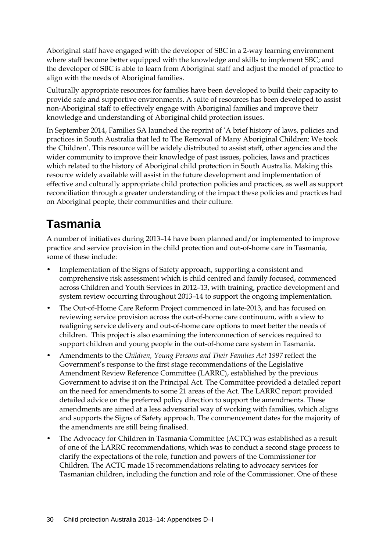Aboriginal staff have engaged with the developer of SBC in a 2-way learning environment where staff become better equipped with the knowledge and skills to implement SBC; and the developer of SBC is able to learn from Aboriginal staff and adjust the model of practice to align with the needs of Aboriginal families.

Culturally appropriate resources for families have been developed to build their capacity to provide safe and supportive environments. A suite of resources has been developed to assist non-Aboriginal staff to effectively engage with Aboriginal families and improve their knowledge and understanding of Aboriginal child protection issues.

In September 2014, Families SA launched the reprint of 'A brief history of laws, policies and practices in South Australia that led to The Removal of Many Aboriginal Children: We took the Children'. This resource will be widely distributed to assist staff, other agencies and the wider community to improve their knowledge of past issues, policies, laws and practices which related to the history of Aboriginal child protection in South Australia. Making this resource widely available will assist in the future development and implementation of effective and culturally appropriate child protection policies and practices, as well as support reconciliation through a greater understanding of the impact these policies and practices had on Aboriginal people, their communities and their culture.

## **Tasmania**

A number of initiatives during 2013–14 have been planned and/or implemented to improve practice and service provision in the child protection and out-of-home care in Tasmania, some of these include:

- Implementation of the Signs of Safety approach, supporting a consistent and comprehensive risk assessment which is child centred and family focused, commenced across Children and Youth Services in 2012–13, with training, practice development and system review occurring throughout 2013–14 to support the ongoing implementation.
- The Out-of-Home Care Reform Project commenced in late-2013, and has focused on reviewing service provision across the out-of-home care continuum, with a view to realigning service delivery and out-of-home care options to meet better the needs of children. This project is also examining the interconnection of services required to support children and young people in the out-of-home care system in Tasmania.
- Amendments to the *Children, Young Persons and Their Families Act 1997* reflect the Government's response to the first stage recommendations of the Legislative Amendment Review Reference Committee (LARRC), established by the previous Government to advise it on the Principal Act. The Committee provided a detailed report on the need for amendments to some 21 areas of the Act. The LARRC report provided detailed advice on the preferred policy direction to support the amendments. These amendments are aimed at a less adversarial way of working with families, which aligns and supports the Signs of Safety approach. The commencement dates for the majority of the amendments are still being finalised.
- The Advocacy for Children in Tasmania Committee (ACTC) was established as a result of one of the LARRC recommendations, which was to conduct a second stage process to clarify the expectations of the role, function and powers of the Commissioner for Children. The ACTC made 15 recommendations relating to advocacy services for Tasmanian children, including the function and role of the Commissioner. One of these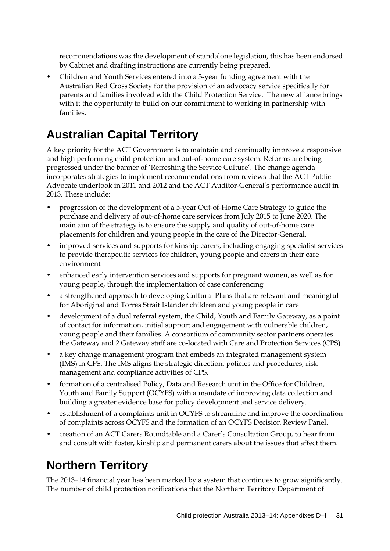recommendations was the development of standalone legislation, this has been endorsed by Cabinet and drafting instructions are currently being prepared.

• Children and Youth Services entered into a 3-year funding agreement with the Australian Red Cross Society for the provision of an advocacy service specifically for parents and families involved with the Child Protection Service. The new alliance brings with it the opportunity to build on our commitment to working in partnership with families.

## **Australian Capital Territory**

A key priority for the ACT Government is to maintain and continually improve a responsive and high performing child protection and out-of-home care system. Reforms are being progressed under the banner of 'Refreshing the Service Culture'. The change agenda incorporates strategies to implement recommendations from reviews that the ACT Public Advocate undertook in 2011 and 2012 and the ACT Auditor-General's performance audit in 2013. These include:

- progression of the development of a 5-year Out-of-Home Care Strategy to guide the purchase and delivery of out-of-home care services from July 2015 to June 2020. The main aim of the strategy is to ensure the supply and quality of out-of-home care placements for children and young people in the care of the Director-General.
- improved services and supports for kinship carers, including engaging specialist services to provide therapeutic services for children, young people and carers in their care environment
- enhanced early intervention services and supports for pregnant women, as well as for young people, through the implementation of case conferencing
- a strengthened approach to developing Cultural Plans that are relevant and meaningful for Aboriginal and Torres Strait Islander children and young people in care
- development of a dual referral system, the Child, Youth and Family Gateway, as a point of contact for information, initial support and engagement with vulnerable children, young people and their families. A consortium of community sector partners operates the Gateway and 2 Gateway staff are co-located with Care and Protection Services (CPS).
- a key change management program that embeds an integrated management system (IMS) in CPS. The IMS aligns the strategic direction, policies and procedures, risk management and compliance activities of CPS.
- formation of a centralised Policy, Data and Research unit in the Office for Children, Youth and Family Support (OCYFS) with a mandate of improving data collection and building a greater evidence base for policy development and service delivery.
- establishment of a complaints unit in OCYFS to streamline and improve the coordination of complaints across OCYFS and the formation of an OCYFS Decision Review Panel.
- creation of an ACT Carers Roundtable and a Carer's Consultation Group, to hear from and consult with foster, kinship and permanent carers about the issues that affect them.

# **Northern Territory**

The 2013–14 financial year has been marked by a system that continues to grow significantly. The number of child protection notifications that the Northern Territory Department of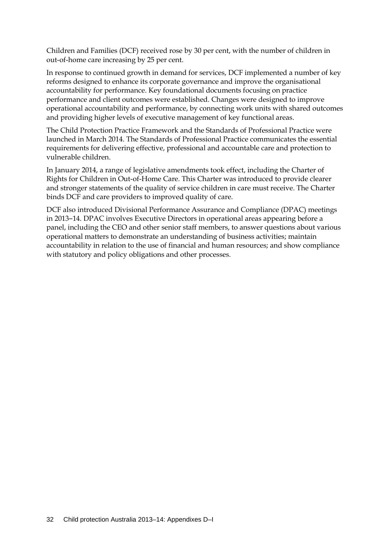Children and Families (DCF) received rose by 30 per cent, with the number of children in out-of-home care increasing by 25 per cent.

In response to continued growth in demand for services, DCF implemented a number of key reforms designed to enhance its corporate governance and improve the organisational accountability for performance. Key foundational documents focusing on practice performance and client outcomes were established. Changes were designed to improve operational accountability and performance, by connecting work units with shared outcomes and providing higher levels of executive management of key functional areas.

The Child Protection Practice Framework and the Standards of Professional Practice were launched in March 2014. The Standards of Professional Practice communicates the essential requirements for delivering effective, professional and accountable care and protection to vulnerable children.

In January 2014, a range of legislative amendments took effect, including the Charter of Rights for Children in Out-of-Home Care. This Charter was introduced to provide clearer and stronger statements of the quality of service children in care must receive. The Charter binds DCF and care providers to improved quality of care.

DCF also introduced Divisional Performance Assurance and Compliance (DPAC) meetings in 2013–14. DPAC involves Executive Directors in operational areas appearing before a panel, including the CEO and other senior staff members, to answer questions about various operational matters to demonstrate an understanding of business activities; maintain accountability in relation to the use of financial and human resources; and show compliance with statutory and policy obligations and other processes.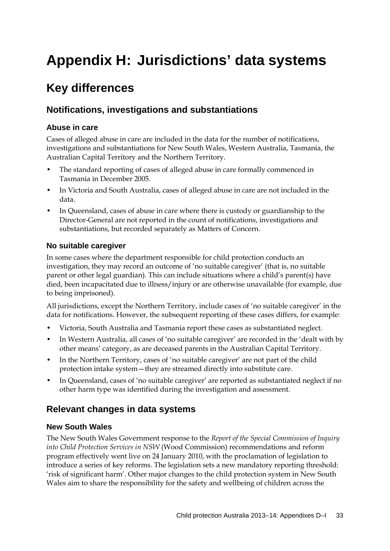# **Appendix H: Jurisdictions' data systems**

## **Key differences**

### **Notifications, investigations and substantiations**

#### **Abuse in care**

Cases of alleged abuse in care are included in the data for the number of notifications, investigations and substantiations for New South Wales, Western Australia, Tasmania, the Australian Capital Territory and the Northern Territory.

- The standard reporting of cases of alleged abuse in care formally commenced in Tasmania in December 2005.
- In Victoria and South Australia, cases of alleged abuse in care are not included in the data.
- In Queensland, cases of abuse in care where there is custody or guardianship to the Director-General are not reported in the count of notifications, investigations and substantiations, but recorded separately as Matters of Concern.

### **No suitable caregiver**

In some cases where the department responsible for child protection conducts an investigation, they may record an outcome of 'no suitable caregiver' (that is, no suitable parent or other legal guardian). This can include situations where a child's parent(s) have died, been incapacitated due to illness/injury or are otherwise unavailable (for example, due to being imprisoned).

All jurisdictions, except the Northern Territory, include cases of 'no suitable caregiver' in the data for notifications. However, the subsequent reporting of these cases differs, for example:

- Victoria, South Australia and Tasmania report these cases as substantiated neglect.
- In Western Australia, all cases of 'no suitable caregiver' are recorded in the 'dealt with by other means' category, as are deceased parents in the Australian Capital Territory.
- In the Northern Territory, cases of 'no suitable caregiver' are not part of the child protection intake system—they are streamed directly into substitute care.
- In Queensland, cases of 'no suitable caregiver' are reported as substantiated neglect if no other harm type was identified during the investigation and assessment.

### **Relevant changes in data systems**

#### **New South Wales**

The New South Wales Government response to the *Report of the Special Commission of Inquiry into Child Protection Services in NSW* (Wood Commission) recommendations and reform program effectively went live on 24 January 2010, with the proclamation of legislation to introduce a series of key reforms. The legislation sets a new mandatory reporting threshold: 'risk of significant harm'. Other major changes to the child protection system in New South Wales aim to share the responsibility for the safety and wellbeing of children across the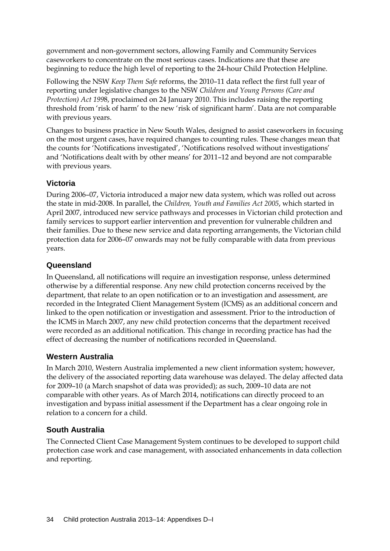government and non-government sectors, allowing Family and Community Services caseworkers to concentrate on the most serious cases. Indications are that these are beginning to reduce the high level of reporting to the 24-hour Child Protection Helpline.

Following the NSW *Keep Them Safe* reforms, the 2010–11 data reflect the first full year of reporting under legislative changes to the NSW *Children and Young Persons (Care and Protection) Act 199*8, proclaimed on 24 January 2010. This includes raising the reporting threshold from 'risk of harm' to the new 'risk of significant harm'. Data are not comparable with previous years.

Changes to business practice in New South Wales, designed to assist caseworkers in focusing on the most urgent cases, have required changes to counting rules. These changes mean that the counts for 'Notifications investigated', 'Notifications resolved without investigations' and 'Notifications dealt with by other means' for 2011–12 and beyond are not comparable with previous years.

#### **Victoria**

During 2006–07, Victoria introduced a major new data system, which was rolled out across the state in mid-2008. In parallel, the *Children, Youth and Families Act 2005*, which started in April 2007, introduced new service pathways and processes in Victorian child protection and family services to support earlier intervention and prevention for vulnerable children and their families. Due to these new service and data reporting arrangements, the Victorian child protection data for 2006–07 onwards may not be fully comparable with data from previous years.

#### **Queensland**

In Queensland, all notifications will require an investigation response, unless determined otherwise by a differential response. Any new child protection concerns received by the department, that relate to an open notification or to an investigation and assessment, are recorded in the Integrated Client Management System (ICMS) as an additional concern and linked to the open notification or investigation and assessment. Prior to the introduction of the ICMS in March 2007, any new child protection concerns that the department received were recorded as an additional notification. This change in recording practice has had the effect of decreasing the number of notifications recorded in Queensland.

### **Western Australia**

In March 2010, Western Australia implemented a new client information system; however, the delivery of the associated reporting data warehouse was delayed. The delay affected data for 2009–10 (a March snapshot of data was provided); as such, 2009–10 data are not comparable with other years. As of March 2014, notifications can directly proceed to an investigation and bypass initial assessment if the Department has a clear ongoing role in relation to a concern for a child.

### **South Australia**

The Connected Client Case Management System continues to be developed to support child protection case work and case management, with associated enhancements in data collection and reporting.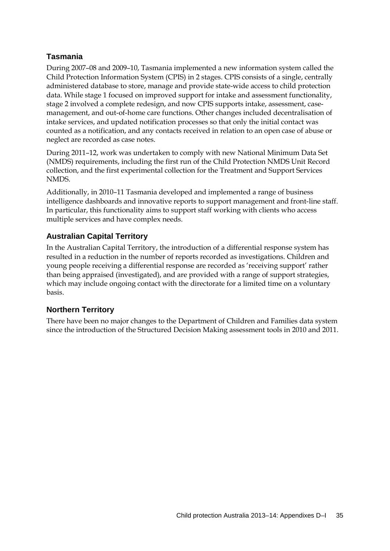### **Tasmania**

During 2007–08 and 2009–10, Tasmania implemented a new information system called the Child Protection Information System (CPIS) in 2 stages. CPIS consists of a single, centrally administered database to store, manage and provide state-wide access to child protection data. While stage 1 focused on improved support for intake and assessment functionality, stage 2 involved a complete redesign, and now CPIS supports intake, assessment, casemanagement, and out-of-home care functions. Other changes included decentralisation of intake services, and updated notification processes so that only the initial contact was counted as a notification, and any contacts received in relation to an open case of abuse or neglect are recorded as case notes.

During 2011–12, work was undertaken to comply with new National Minimum Data Set (NMDS) requirements, including the first run of the Child Protection NMDS Unit Record collection, and the first experimental collection for the Treatment and Support Services NMDS.

Additionally, in 2010–11 Tasmania developed and implemented a range of business intelligence dashboards and innovative reports to support management and front-line staff. In particular, this functionality aims to support staff working with clients who access multiple services and have complex needs.

#### **Australian Capital Territory**

In the Australian Capital Territory, the introduction of a differential response system has resulted in a reduction in the number of reports recorded as investigations. Children and young people receiving a differential response are recorded as 'receiving support' rather than being appraised (investigated), and are provided with a range of support strategies, which may include ongoing contact with the directorate for a limited time on a voluntary basis.

#### **Northern Territory**

There have been no major changes to the Department of Children and Families data system since the introduction of the Structured Decision Making assessment tools in 2010 and 2011.